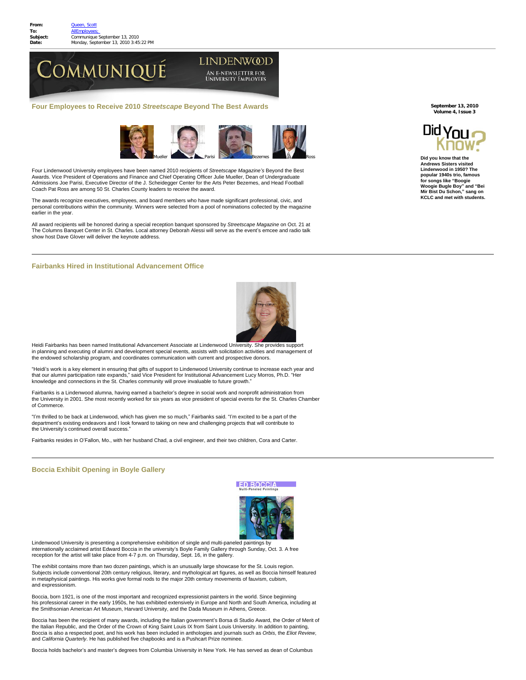

**Four Employees to Receive 2010** *Streetscape* **Beyond The Best Awards** 



Four Lindenwood University employees have been named 2010 recipients of *Streetscape Magazine's* Beyond the Best Awards. Vice President of Operations and Finance and Chief Operating Officer Julie Mueller, Dean of Undergraduate Admissions Joe Parisi, Executive Director of the J. Scheidegger Center for the Arts Peter Bezemes, and Head Football Coach Pat Ross are among 50 St. Charles County leaders to receive the award.

The awards recognize executives, employees, and board members who have made significant professional, civic, and personal contributions within the community. Winners were selected from a pool of nominations collected by the magazine earlier in the year.

All award recipients will be honored during a special reception banquet sponsored by *Streetscape Magazine* on Oct. 21 at The Columns Banquet Center in St. Charles. Local attorney Deborah Alessi will serve as the event's emcee and radio talk show host Dave Glover will deliver the keynote address.

## **Fairbanks Hired in Institutional Advancement Office**



Heidi Fairbanks has been named Institutional Advancement Associate at Lindenwood University. She provides support in planning and executing of alumni and development special events, assists with solicitation activities and management of the endowed scholarship program, and coordinates communication with current and prospective donors.

"Heidi's work is a key element in ensuring that gifts of support to Lindenwood University continue to increase each year and that our alumni participation rate expands," said Vice President for Institutional Advancement Lucy Morros, Ph.D. "Her<br>knowledge and connections in the St. Charles community will prove invaluable to future growth."

Fairbanks is a Lindenwood alumna, having earned a bachelor's degree in social work and nonprofit administration from the University in 2001. She most recently worked for six years as vice president of special events for the St. Charles Chamber of Commerce.

"I'm thrilled to be back at Lindenwood, which has given me so much," Fairbanks said. "I'm excited to be a part of the department's existing endeavors and I look forward to taking on new and challenging projects that will contribute to the University's continued overall success."

Fairbanks resides in O'Fallon, Mo., with her husband Chad, a civil engineer, and their two children, Cora and Carter.

## **Boccia Exhibit Opening in Boyle Gallery**

**ED BOCCU** 



Lindenwood University is presenting a comprehensive exhibition of single and multi-paneled paintings by internationally acclaimed artist Edward Boccia in the university's Boyle Family Gallery through Sunday, Oct. 3. A free reception for the artist will take place from 4-7 p.m. on Thursday, Sept. 16, in the gallery.

The exhibit contains more than two dozen paintings, which is an unusually large showcase for the St. Louis region. Subjects include conventional 20th century religious, literary, and mythological art figures, as well as Boccia himself featured in metaphysical paintings. His works give formal nods to the major 20th century movements of fauvism, cubism, and expressionism.

Boccia, born 1921, is one of the most important and recognized expressionist painters in the world. Since beginning his professional career in the early 1950s, he has exhibited extensively in Europe and North and South America, including at the Smithsonian American Art Museum, Harvard University, and the Dada Museum in Athens, Greece.

Boccia has been the recipient of many awards, including the Italian government's Borsa di Studio Award, the Order of Merit of the Italian Republic, and the Order of the Crown of King Saint Louis IX from Saint Louis University. In addition to painting, Boccia is also a respected poet, and his work has been included in anthologies and journals such as *Orbis*, the *Eliot Review*, and *California Quarterly*. He has published five chapbooks and is a Pushcart Prize nominee.

Boccia holds bachelor's and master's degrees from Columbia University in New York. He has served as dean of Columbus

**September 13, 2010 Volume 4, Issue 3**



**Did you know that the Andrews Sisters visited Lindenwood in 1950? The popular 1940s trio, famous for songs like "Boogie Woogie Bugle Boy" and "Bei Mir Bist Du Schon," sang on KCLC and met with students.**